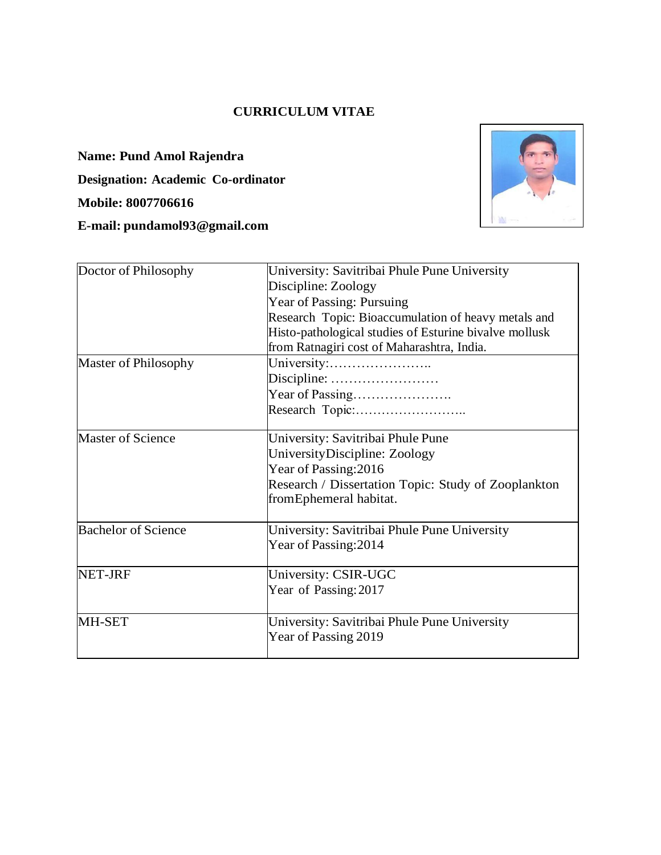## **CURRICULUM VITAE**

**Name: Pund Amol Rajendra Designation: Academic Co-ordinator Mobile: 8007706616 E-mail: [pundamol93@gmail.com](mailto:pundamol93@gmail.com)**



| Doctor of Philosophy       | University: Savitribai Phule Pune University                                                                                                                                                                    |  |  |  |  |
|----------------------------|-----------------------------------------------------------------------------------------------------------------------------------------------------------------------------------------------------------------|--|--|--|--|
|                            |                                                                                                                                                                                                                 |  |  |  |  |
|                            | Discipline: Zoology<br>Year of Passing: Pursuing<br>Research Topic: Bioaccumulation of heavy metals and<br>Histo-pathological studies of Esturine bivalve mollusk<br>from Ratnagiri cost of Maharashtra, India. |  |  |  |  |
|                            |                                                                                                                                                                                                                 |  |  |  |  |
|                            |                                                                                                                                                                                                                 |  |  |  |  |
|                            |                                                                                                                                                                                                                 |  |  |  |  |
|                            |                                                                                                                                                                                                                 |  |  |  |  |
| Master of Philosophy       | University:                                                                                                                                                                                                     |  |  |  |  |
|                            |                                                                                                                                                                                                                 |  |  |  |  |
|                            |                                                                                                                                                                                                                 |  |  |  |  |
|                            | Research Topic:                                                                                                                                                                                                 |  |  |  |  |
| <b>Master of Science</b>   | University: Savitribai Phule Pune                                                                                                                                                                               |  |  |  |  |
|                            | UniversityDiscipline: Zoology                                                                                                                                                                                   |  |  |  |  |
|                            | Year of Passing: 2016                                                                                                                                                                                           |  |  |  |  |
|                            | Research / Dissertation Topic: Study of Zooplankton                                                                                                                                                             |  |  |  |  |
|                            | fromEphemeral habitat.                                                                                                                                                                                          |  |  |  |  |
|                            |                                                                                                                                                                                                                 |  |  |  |  |
| <b>Bachelor of Science</b> | University: Savitribai Phule Pune University                                                                                                                                                                    |  |  |  |  |
|                            | Year of Passing: 2014                                                                                                                                                                                           |  |  |  |  |
| <b>NET-JRF</b>             | University: CSIR-UGC                                                                                                                                                                                            |  |  |  |  |
|                            | Year of Passing: 2017                                                                                                                                                                                           |  |  |  |  |
| MH-SET                     | University: Savitribai Phule Pune University                                                                                                                                                                    |  |  |  |  |
|                            | Year of Passing 2019                                                                                                                                                                                            |  |  |  |  |
|                            |                                                                                                                                                                                                                 |  |  |  |  |